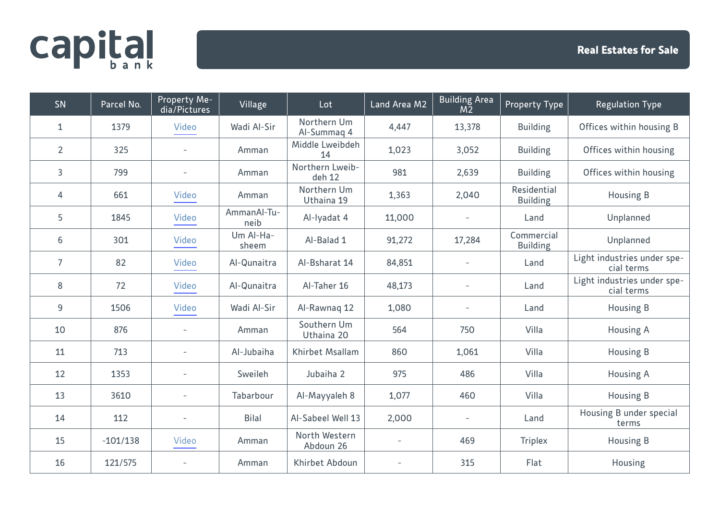## **capital**

| SN             | Parcel No. | Property Me-<br>dia/Pictures | Village             | Lot                        | Land Area M2             | <b>Building Area</b><br>M <sub>2</sub> | Property Type                  | <b>Regulation Type</b>                    |
|----------------|------------|------------------------------|---------------------|----------------------------|--------------------------|----------------------------------------|--------------------------------|-------------------------------------------|
| $\mathbf{1}$   | 1379       | <b>Video</b>                 | Wadi Al-Sir         | Northern Um<br>Al-Summaq 4 | 4,447                    | 13,378                                 | <b>Building</b>                | Offices within housing B                  |
| $\overline{2}$ | 325        |                              | Amman               | Middle Lweibdeh<br>14      | 1,023                    | 3,052                                  | <b>Building</b>                | Offices within housing                    |
| 3              | 799        |                              | Amman               | Northern Lweib-<br>deh 12  | 981                      | 2,639                                  | <b>Building</b>                | Offices within housing                    |
| 4              | 661        | <b>Video</b>                 | Amman               | Northern Um<br>Uthaina 19  | 1,363                    | 2,040                                  | Residential<br><b>Building</b> | <b>Housing B</b>                          |
| 5              | 1845       | <b>Video</b>                 | AmmanAl-Tu-<br>neib | Al-Iyadat 4                | 11,000                   |                                        | Land                           | Unplanned                                 |
| 6              | 301        | Video                        | Um Al-Ha-<br>sheem  | Al-Balad 1                 | 91,272                   | 17,284                                 | Commercial<br><b>Building</b>  | Unplanned                                 |
| $\overline{7}$ | 82         | <b>Video</b>                 | Al-Qunaitra         | Al-Bsharat 14              | 84,851                   |                                        | Land                           | Light industries under spe-<br>cial terms |
| 8              | 72         | <b>Video</b>                 | Al-Qunaitra         | Al-Taher 16                | 48,173                   |                                        | Land                           | Light industries under spe-<br>cial terms |
| 9              | 1506       | <b>Video</b>                 | Wadi Al-Sir         | Al-Rawnaq 12               | 1,080                    |                                        | Land                           | <b>Housing B</b>                          |
| 10             | 876        |                              | Amman               | Southern Um<br>Uthaina 20  | 564                      | 750                                    | Villa                          | <b>Housing A</b>                          |
| 11             | 713        |                              | Al-Jubaiha          | <b>Khirbet Msallam</b>     | 860                      | 1,061                                  | Villa                          | Housing B                                 |
| 12             | 1353       | $\overline{a}$               | Sweileh             | Jubaiha 2                  | 975                      | 486                                    | Villa                          | <b>Housing A</b>                          |
| 13             | 3610       |                              | Tabarbour           | Al-Mayyaleh 8              | 1,077                    | 460                                    | Villa                          | Housing B                                 |
| 14             | 112        |                              | <b>Bilal</b>        | Al-Sabeel Well 13          | 2,000                    |                                        | Land                           | Housing B under special<br>terms          |
| 15             | $-101/138$ | Video                        | Amman               | North Western<br>Abdoun 26 | $\overline{\phantom{a}}$ | 469                                    | <b>Triplex</b>                 | Housing B                                 |
| 16             | 121/575    |                              | Amman               | Khirbet Abdoun             |                          | 315                                    | Flat                           | Housing                                   |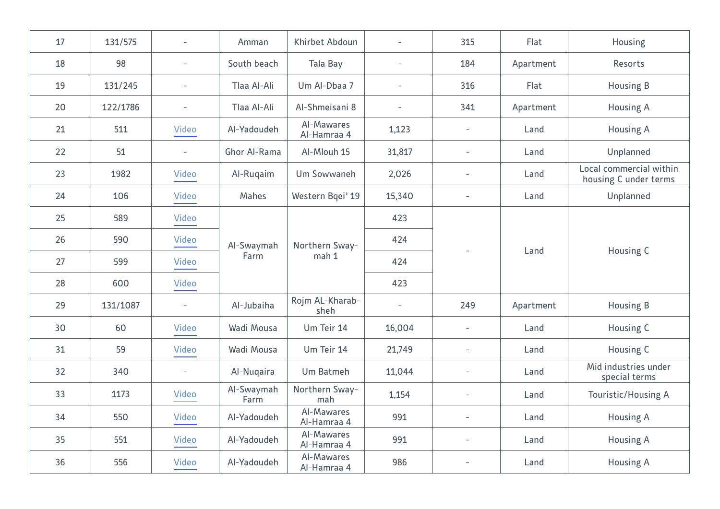| 17 | 131/575  |                          | Amman              | Khirbet Abdoun            | $\overline{\phantom{0}}$ | 315                      | Flat      | Housing                                          |
|----|----------|--------------------------|--------------------|---------------------------|--------------------------|--------------------------|-----------|--------------------------------------------------|
| 18 | 98       | $\overline{\phantom{a}}$ | South beach        | Tala Bay                  | $\overline{\phantom{0}}$ | 184                      | Apartment | Resorts                                          |
| 19 | 131/245  | $\overline{\phantom{a}}$ | Tlaa Al-Ali        | Um Al-Dbaa 7              | $\overline{\phantom{0}}$ | 316                      | Flat      | <b>Housing B</b>                                 |
| 20 | 122/1786 | $\overline{\phantom{a}}$ | Tlaa Al-Ali        | Al-Shmeisani 8            | $\overline{\phantom{a}}$ | 341                      | Apartment | <b>Housing A</b>                                 |
| 21 | 511      | Video                    | Al-Yadoudeh        | Al-Mawares<br>Al-Hamraa 4 | 1,123                    | $\overline{\phantom{a}}$ | Land      | <b>Housing A</b>                                 |
| 22 | 51       | $\overline{\phantom{a}}$ | Ghor Al-Rama       | Al-Mlouh 15               | 31,817                   | $\overline{\phantom{a}}$ | Land      | Unplanned                                        |
| 23 | 1982     | Video                    | Al-Rugaim          | Um Sowwaneh               | 2,026                    | $\overline{\phantom{a}}$ | Land      | Local commercial within<br>housing C under terms |
| 24 | 106      | Video                    | Mahes              | Western Bqei' 19          | 15,340                   | $\overline{\phantom{a}}$ | Land      | Unplanned                                        |
| 25 | 589      | Video                    | Al-Swaymah<br>Farm | Northern Sway-<br>mah 1   | 423                      |                          | Land      | Housing C                                        |
| 26 | 590      | Video                    |                    |                           | 424                      |                          |           |                                                  |
| 27 | 599      | <b>Video</b>             |                    |                           | 424                      |                          |           |                                                  |
| 28 | 600      | <b>Video</b>             |                    |                           | 423                      |                          |           |                                                  |
| 29 | 131/1087 | $\overline{a}$           | Al-Jubaiha         | Rojm AL-Kharab-<br>sheh   | $\overline{\phantom{a}}$ | 249                      | Apartment | Housing B                                        |
| 30 | 60       | Video                    | Wadi Mousa         | Um Teir 14                | 16,004                   | $\overline{\phantom{a}}$ | Land      | Housing C                                        |
| 31 | 59       | Video                    | Wadi Mousa         | Um Teir 14                | 21,749                   | $\overline{\phantom{a}}$ | Land      | Housing C                                        |
| 32 | 340      | $\overline{a}$           | Al-Nuqaira         | Um Batmeh                 | 11,044                   | $\overline{\phantom{a}}$ | Land      | Mid industries under<br>special terms            |
| 33 | 1173     | Video                    | Al-Swaymah<br>Farm | Northern Sway-<br>mah     | 1,154                    | $\overline{\phantom{a}}$ | Land      | Touristic/Housing A                              |
| 34 | 550      | Video                    | Al-Yadoudeh        | Al-Mawares<br>Al-Hamraa 4 | 991                      | $\overline{\phantom{a}}$ | Land      | <b>Housing A</b>                                 |
| 35 | 551      | Video                    | Al-Yadoudeh        | Al-Mawares<br>Al-Hamraa 4 | 991                      | $\overline{\phantom{a}}$ | Land      | <b>Housing A</b>                                 |
| 36 | 556      | Video                    | Al-Yadoudeh        | Al-Mawares<br>Al-Hamraa 4 | 986                      | $\overline{a}$           | Land      | <b>Housing A</b>                                 |